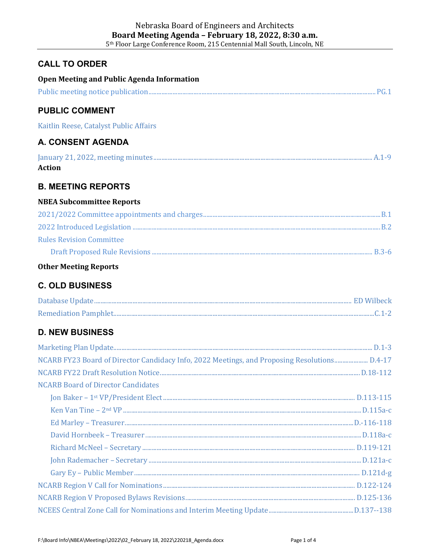## **CALL TO ORDER**

| <b>Open Meeting and Public Agenda Information</b>                                            |  |
|----------------------------------------------------------------------------------------------|--|
|                                                                                              |  |
| <b>PUBLIC COMMENT</b>                                                                        |  |
| Kaitlin Reese, Catalyst Public Affairs                                                       |  |
| <b>A. CONSENT AGENDA</b>                                                                     |  |
| <b>Action</b>                                                                                |  |
| <b>B. MEETING REPORTS</b>                                                                    |  |
| <b>NBEA Subcommittee Reports</b>                                                             |  |
|                                                                                              |  |
|                                                                                              |  |
| <b>Rules Revision Committee</b>                                                              |  |
|                                                                                              |  |
| <b>Other Meeting Reports</b>                                                                 |  |
| <b>C. OLD BUSINESS</b>                                                                       |  |
|                                                                                              |  |
|                                                                                              |  |
| <b>D. NEW BUSINESS</b>                                                                       |  |
|                                                                                              |  |
| NCARB FY23 Board of Director Candidacy Info, 2022 Meetings, and Proposing Resolutions D.4-17 |  |
|                                                                                              |  |
| <b>NCARB Board of Director Candidates</b>                                                    |  |
|                                                                                              |  |
|                                                                                              |  |
|                                                                                              |  |
|                                                                                              |  |
|                                                                                              |  |
|                                                                                              |  |
|                                                                                              |  |
|                                                                                              |  |
|                                                                                              |  |
|                                                                                              |  |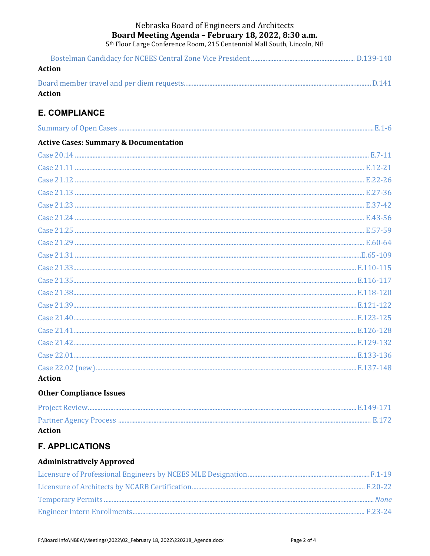#### Nebraska Board of Engineers and Architects Board Meeting Agenda - February 18, 2022, 8:30 a.m. 5<sup>th</sup> Floor Large Conference Room, 215 Centennial Mall South, Lincoln, NE

| Action        |  |
|---------------|--|
|               |  |
| <b>Action</b> |  |

# **E. COMPLIANCE**

| summar |  |  |  |
|--------|--|--|--|
|--------|--|--|--|

### **Active Cases: Summary & Documentation**

| <b>Action</b> |  |
|---------------|--|

# **Other Compliance Issues**

| Action |  |
|--------|--|

# **F. APPLICATIONS**

#### **Administratively Approved**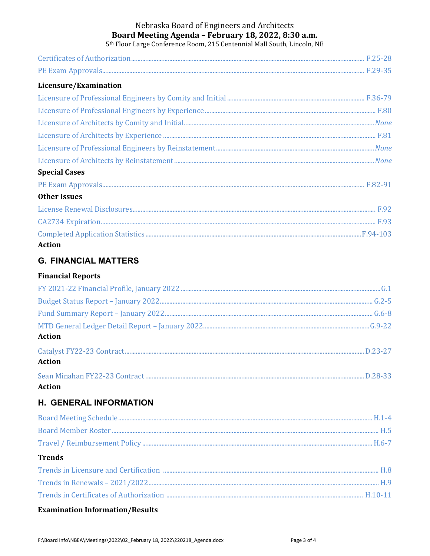#### Nebraska Board of Engineers and Architects Board Meeting Agenda - February 18, 2022, 8:30 a.m. 5<sup>th</sup> Floor Large Conference Room, 215 Centennial Mall South, Lincoln, NE

Licensure/Examination **Special Cases Other Issues Action** 

## **G. FINANCIAL MATTERS**

### **Financial Reports**

| <b>Action</b> |
|---------------|
| <b>Action</b> |
|               |

### **Action**

# **H. GENERAL INFORMATION**

| <b>Trends</b> |  |
|---------------|--|
|               |  |
|               |  |
|               |  |

### **Examination Information/Results**